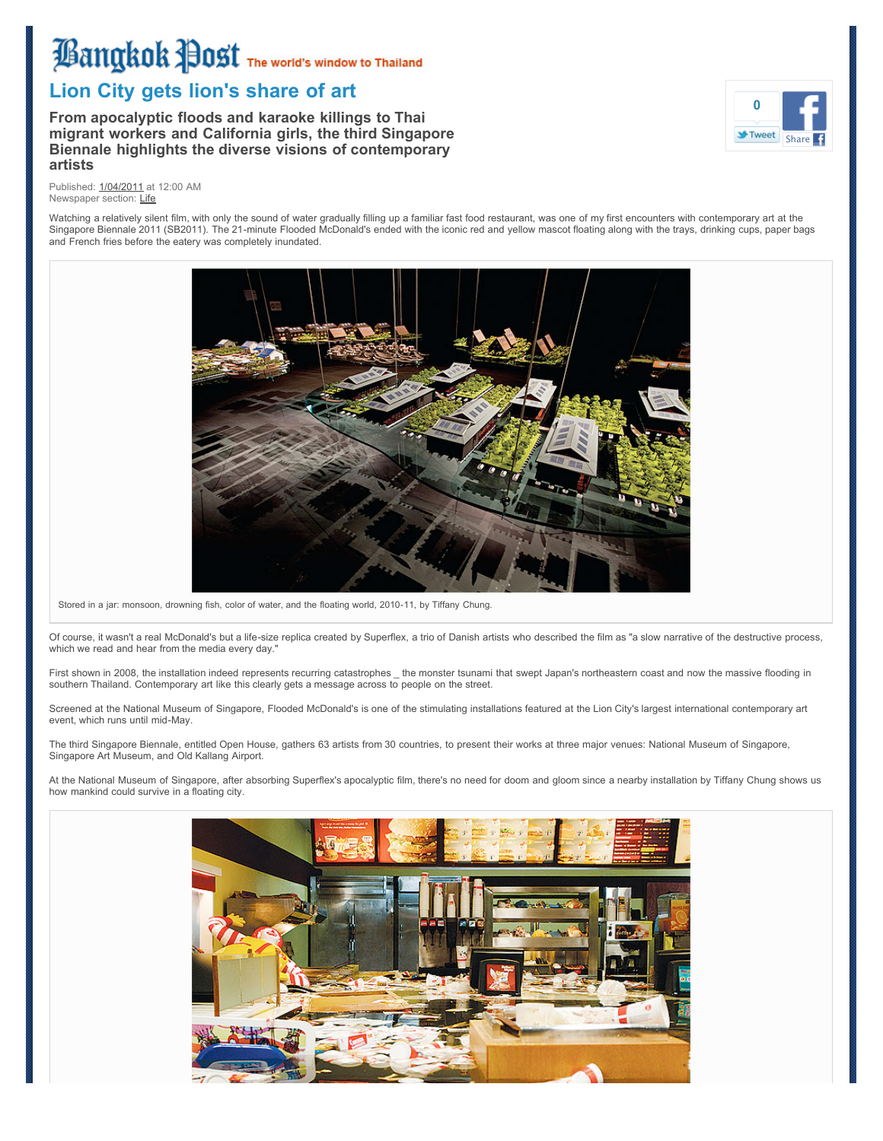# **Bangkok Post** The World's Window to Thailand

# **Lion City gets lion's share of art**

**From apocalyptic floods and karaoke killings to Thai migrant workers and California girls, the third Singapore Biennale highlights the diverse visions of contemporary artists**



Published: [1/04/2011](http://www.bangkokpost.com/search/news-and-article?xDate=%201-04-2011&xAdvanceSearch=true) at 12:00 AM Newspaper section: [Life](http://www.bangkokpost.com/search/news-and-article?xNewsSection=Life&xAdvanceSearch=true)

Watching a relatively silent film, with only the sound of water gradually filling up a familiar fast food restaurant, was one of my first encounters with contemporary art at the Singapore Biennale 2011 (SB2011). The 21-minute Flooded McDonald's ended with the iconic red and yellow mascot floating along with the trays, drinking cups, paper bags and French fries before the eatery was completely inundated.



Stored in a jar: monsoon, drowning fish, color of water, and the floating world, 2010-11, by Tiffany Chung.

Of course, it wasn't a real McDonald's but a life-size replica created by Superflex, a trio of Danish artists who described the film as "a slow narrative of the destructive process, which we read and hear from the media every day."

First shown in 2008, the installation indeed represents recurring catastrophes \_the monster tsunami that swept Japan's northeastern coast and now the massive flooding in southern Thailand. Contemporary art like this clearly gets a message across to people on the street.

Screened at the National Museum of Singapore, Flooded McDonald's is one of the stimulating installations featured at the Lion City's largest international contemporary art event, which runs until mid-May.

The third Singapore Biennale, entitled Open House, gathers 63 artists from 30 countries, to present their works at three major venues: National Museum of Singapore, Singapore Art Museum, and Old Kallang Airport.

At the National Museum of Singapore, after absorbing Superflex's apocalyptic film, there's no need for doom and gloom since a nearby installation by Tiffany Chung shows us how mankind could survive in a floating city.

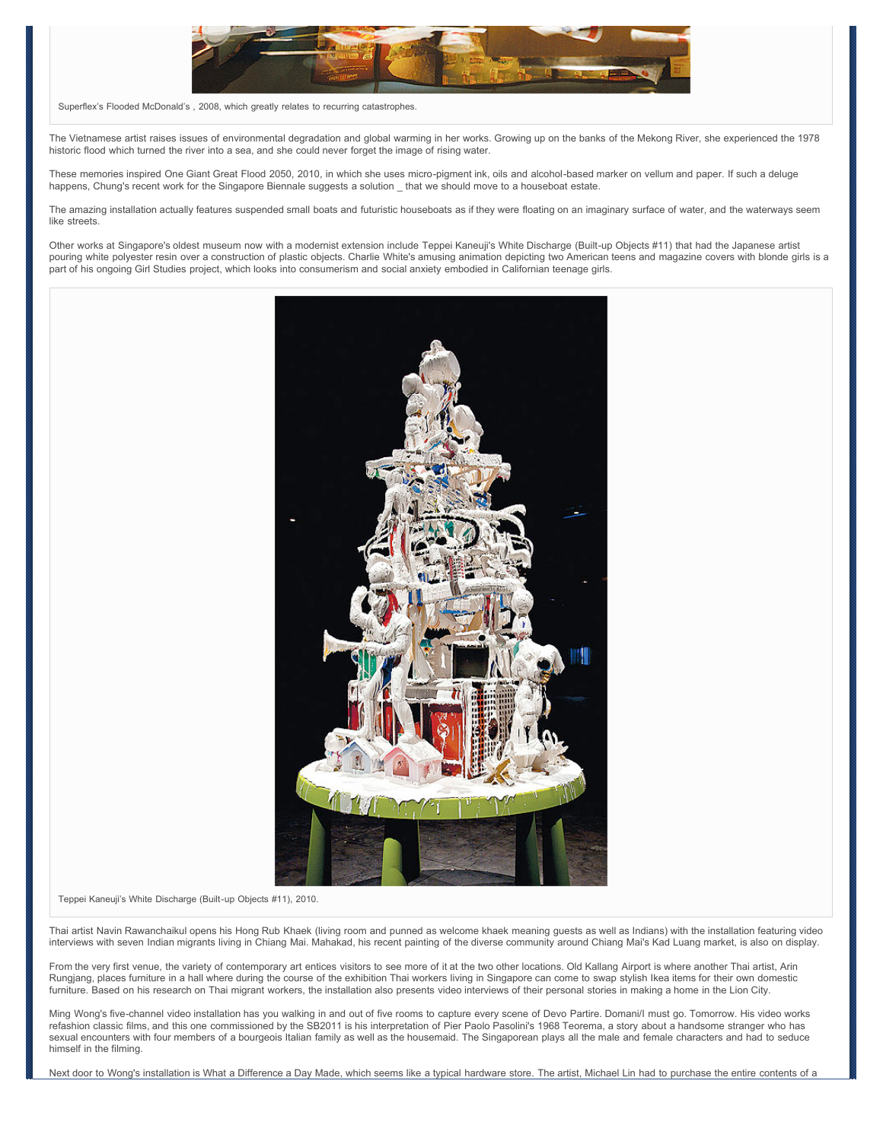

Superflex's Flooded McDonald's , 2008, which greatly relates to recurring catastrophes.

The Vietnamese artist raises issues of environmental degradation and global warming in her works. Growing up on the banks of the Mekong River, she experienced the 1978 historic flood which turned the river into a sea, and she could never forget the image of rising water.

These memories inspired One Giant Great Flood 2050, 2010, in which she uses micro-pigment ink, oils and alcohol-based marker on vellum and paper. If such a deluge happens, Chung's recent work for the Singapore Biennale suggests a solution \_ that we should move to a houseboat estate.

The amazing installation actually features suspended small boats and futuristic houseboats as if they were floating on an imaginary surface of water, and the waterways seem like streets.

Other works at Singapore's oldest museum now with a modernist extension include Teppei Kaneuji's White Discharge (Built-up Objects #11) that had the Japanese artist pouring white polyester resin over a construction of plastic objects. Charlie White's amusing animation depicting two American teens and magazine covers with blonde girls is a part of his ongoing Girl Studies project, which looks into consumerism and social anxiety embodied in Californian teenage girls.



#### Teppei Kaneuji's White Discharge (Built-up Objects #11), 2010.

Thai artist Navin Rawanchaikul opens his Hong Rub Khaek (living room and punned as welcome khaek meaning guests as well as Indians) with the installation featuring video interviews with seven Indian migrants living in Chiang Mai. Mahakad, his recent painting of the diverse community around Chiang Mai's Kad Luang market, is also on display.

From the very first venue, the variety of contemporary art entices visitors to see more of it at the two other locations. Old Kallang Airport is where another Thai artist, Arin Rungjang, places furniture in a hall where during the course of the exhibition Thai workers living in Singapore can come to swap stylish Ikea items for their own domestic furniture. Based on his research on Thai migrant workers, the installation also presents video interviews of their personal stories in making a home in the Lion City.

Ming Wong's five-channel video installation has you walking in and out of five rooms to capture every scene of Devo Partire. Domani/I must go. Tomorrow. His video works refashion classic films, and this one commissioned by the SB2011 is his interpretation of Pier Paolo Pasolini's 1968 Teorema, a story about a handsome stranger who has sexual encounters with four members of a bourgeois Italian family as well as the housemaid. The Singaporean plays all the male and female characters and had to seduce himself in the filming.

Next door to Wong's installation is What a Difference a Day Made, which seems like a typical hardware store. The artist, Michael Lin had to purchase the entire contents of a